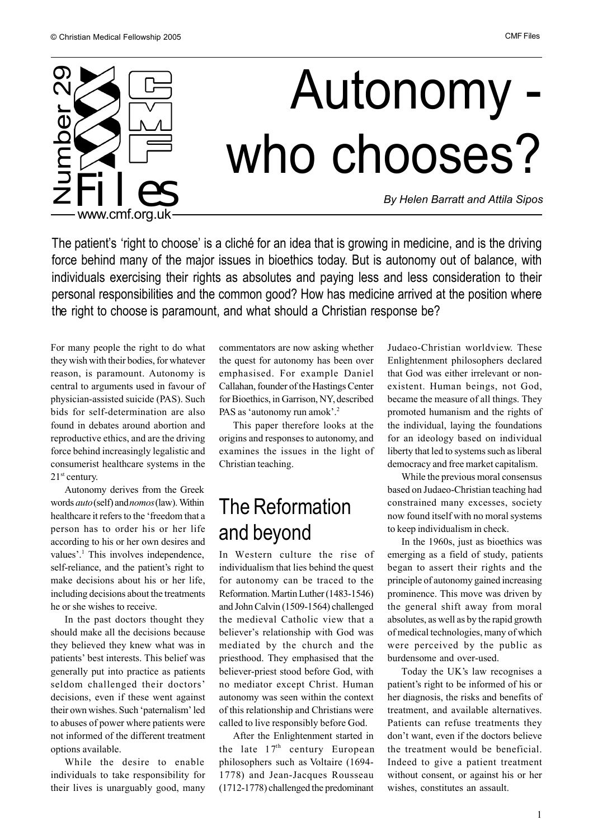

The patient's 'right to choose' is a cliché for an idea that is growing in medicine, and is the driving force behind many of the major issues in bioethics today. But is autonomy out of balance, with individuals exercising their rights as absolutes and paying less and less consideration to their personal responsibilities and the common good? How has medicine arrived at the position where the right to choose is paramount, and what should a Christian response be?

For many people the right to do what they wish with their bodies, for whatever reason, is paramount. Autonomy is central to arguments used in favour of physician-assisted suicide (PAS). Such bids for self-determination are also found in debates around abortion and reproductive ethics, and are the driving force behind increasingly legalistic and consumerist healthcare systems in the 21<sup>st</sup> century.

Autonomy derives from the Greek words *auto* (self) and *nomos* (law). Within healthcare it refers to the 'freedom that a person has to order his or her life according to his or her own desires and values'.<sup>1</sup> This involves independence, self-reliance, and the patient's right to make decisions about his or her life, including decisions about the treatments he or she wishes to receive.

In the past doctors thought they should make all the decisions because they believed they knew what was in patients' best interests. This belief was generally put into practice as patients seldom challenged their doctors' decisions, even if these went against their own wishes. Such 'paternalism' led to abuses of power where patients were not informed of the different treatment options available.

While the desire to enable individuals to take responsibility for their lives is unarguably good, many

commentators are now asking whether the quest for autonomy has been over emphasised. For example Daniel Callahan, founder of the Hastings Center for Bioethics, in Garrison, NY, described PAS as 'autonomy run amok'.<sup>2</sup>

This paper therefore looks at the origins and responses to autonomy, and examines the issues in the light of Christian teaching.

## The Reformation and beyond

In Western culture the rise of individualism that lies behind the quest for autonomy can be traced to the Reformation. Martin Luther (1483-1546) and John Calvin (1509-1564) challenged the medieval Catholic view that a believer's relationship with God was mediated by the church and the priesthood. They emphasised that the believer-priest stood before God, with no mediator except Christ. Human autonomy was seen within the context of this relationship and Christians were called to live responsibly before God.

After the Enlightenment started in the late  $17<sup>th</sup>$  century European philosophers such as Voltaire (1694- 1778) and Jean-Jacques Rousseau (1712-1778) challenged the predominant

Judaeo-Christian worldview. These Enlightenment philosophers declared that God was either irrelevant or nonexistent. Human beings, not God, became the measure of all things. They promoted humanism and the rights of the individual, laying the foundations for an ideology based on individual liberty that led to systems such as liberal democracy and free market capitalism.

While the previous moral consensus based on Judaeo-Christian teaching had constrained many excesses, society now found itself with no moral systems to keep individualism in check.

In the 1960s, just as bioethics was emerging as a field of study, patients began to assert their rights and the principle of autonomy gained increasing prominence. This move was driven by the general shift away from moral absolutes, as well as by the rapid growth of medical technologies, many of which were perceived by the public as burdensome and over-used.

Today the UK's law recognises a patient's right to be informed of his or her diagnosis, the risks and benefits of treatment, and available alternatives. Patients can refuse treatments they don't want, even if the doctors believe the treatment would be beneficial. Indeed to give a patient treatment without consent, or against his or her wishes, constitutes an assault.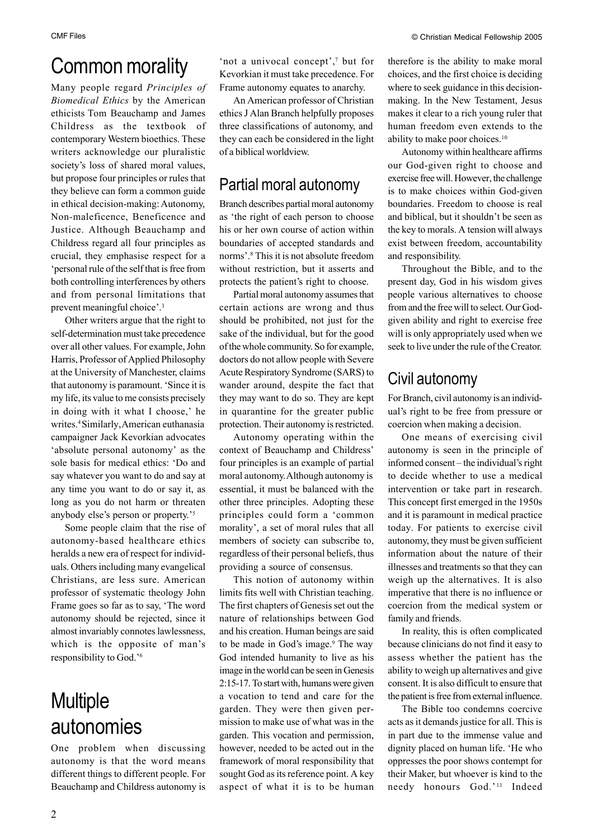# Common morality

Many people regard *Principles of Biomedical Ethics* by the American ethicists Tom Beauchamp and James Childress as the textbook of contemporary Western bioethics. These writers acknowledge our pluralistic society's loss of shared moral values, but propose four principles or rules that they believe can form a common guide in ethical decision-making: Autonomy, Non-maleficence, Beneficence and Justice. Although Beauchamp and Childress regard all four principles as crucial, they emphasise respect for a 'personal rule of the self that is free from both controlling interferences by others and from personal limitations that prevent meaningful choice'.3

Other writers argue that the right to self-determination must take precedence over all other values. For example, John Harris, Professor of Applied Philosophy at the University of Manchester, claims that autonomy is paramount. 'Since it is my life, its value to me consists precisely in doing with it what I choose,' he writes.4 Similarly, American euthanasia campaigner Jack Kevorkian advocates 'absolute personal autonomy' as the sole basis for medical ethics: 'Do and say whatever you want to do and say at any time you want to do or say it, as long as you do not harm or threaten anybody else's person or property.'5

Some people claim that the rise of autonomy-based healthcare ethics heralds a new era of respect for individuals. Others including many evangelical Christians, are less sure. American professor of systematic theology John Frame goes so far as to say, 'The word autonomy should be rejected, since it almost invariably connotes lawlessness, which is the opposite of man's responsibility to God.'6

## **Multiple** autonomies

One problem when discussing autonomy is that the word means different things to different people. For Beauchamp and Childress autonomy is 'not a univocal concept',7 but for Kevorkian it must take precedence. For Frame autonomy equates to anarchy.

An American professor of Christian ethics J Alan Branch helpfully proposes three classifications of autonomy, and they can each be considered in the light of a biblical worldview.

## Partial moral autonomy

Branch describes partial moral autonomy as 'the right of each person to choose his or her own course of action within boundaries of accepted standards and norms'.8 This it is not absolute freedom without restriction, but it asserts and protects the patient's right to choose.

Partial moral autonomy assumes that certain actions are wrong and thus should be prohibited, not just for the sake of the individual, but for the good of the whole community. So for example, doctors do not allow people with Severe Acute Respiratory Syndrome (SARS) to wander around, despite the fact that they may want to do so. They are kept in quarantine for the greater public protection. Their autonomy is restricted.

Autonomy operating within the context of Beauchamp and Childress' four principles is an example of partial moral autonomy. Although autonomy is essential, it must be balanced with the other three principles. Adopting these principles could form a 'common morality', a set of moral rules that all members of society can subscribe to, regardless of their personal beliefs, thus providing a source of consensus.

This notion of autonomy within limits fits well with Christian teaching. The first chapters of Genesis set out the nature of relationships between God and his creation. Human beings are said to be made in God's image.9 The way God intended humanity to live as his image in the world can be seen in Genesis 2:15-17. To start with, humans were given a vocation to tend and care for the garden. They were then given permission to make use of what was in the garden. This vocation and permission, however, needed to be acted out in the framework of moral responsibility that sought God as its reference point. A key aspect of what it is to be human therefore is the ability to make moral choices, and the first choice is deciding where to seek guidance in this decisionmaking. In the New Testament, Jesus makes it clear to a rich young ruler that human freedom even extends to the ability to make poor choices.10

Autonomy within healthcare affirms our God-given right to choose and exercise free will. However, the challenge is to make choices within God-given boundaries. Freedom to choose is real and biblical, but it shouldn't be seen as the key to morals. A tension will always exist between freedom, accountability and responsibility.

Throughout the Bible, and to the present day, God in his wisdom gives people various alternatives to choose from and the free will to select. Our Godgiven ability and right to exercise free will is only appropriately used when we seek to live under the rule of the Creator.

## Civil autonomy

For Branch, civil autonomy is an individual's right to be free from pressure or coercion when making a decision.

One means of exercising civil autonomy is seen in the principle of informed consent – the individual's right to decide whether to use a medical intervention or take part in research. This concept first emerged in the 1950s and it is paramount in medical practice today. For patients to exercise civil autonomy, they must be given sufficient information about the nature of their illnesses and treatments so that they can weigh up the alternatives. It is also imperative that there is no influence or coercion from the medical system or family and friends.

In reality, this is often complicated because clinicians do not find it easy to assess whether the patient has the ability to weigh up alternatives and give consent. It is also difficult to ensure that the patient is free from external influence.

The Bible too condemns coercive acts as it demands justice for all. This is in part due to the immense value and dignity placed on human life. 'He who oppresses the poor shows contempt for their Maker, but whoever is kind to the needy honours God.'<sup>11</sup> Indeed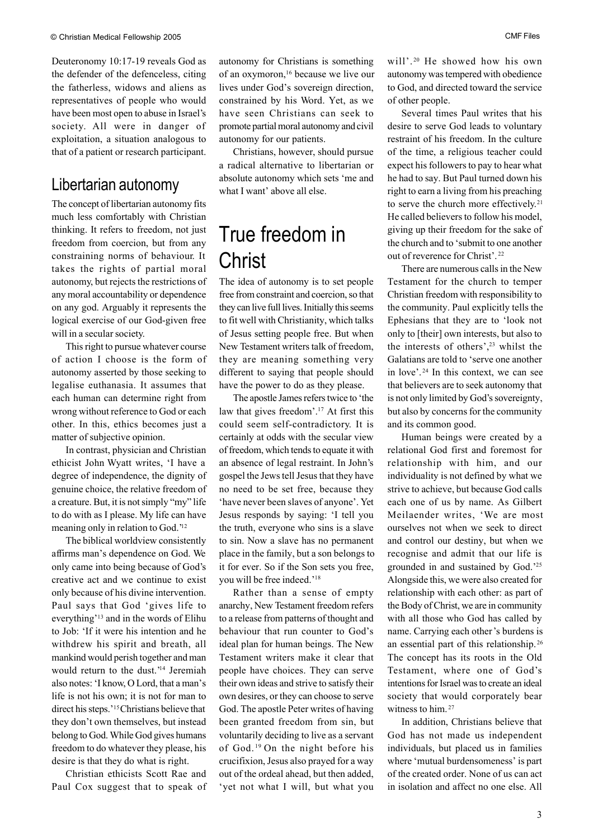Deuteronomy 10:17-19 reveals God as the defender of the defenceless, citing the fatherless, widows and aliens as representatives of people who would have been most open to abuse in Israel's society. All were in danger of exploitation, a situation analogous to that of a patient or research participant.

### Libertarian autonomy

The concept of libertarian autonomy fits much less comfortably with Christian thinking. It refers to freedom, not just freedom from coercion, but from any constraining norms of behaviour. It takes the rights of partial moral autonomy, but rejects the restrictions of any moral accountability or dependence on any god. Arguably it represents the logical exercise of our God-given free will in a secular society.

This right to pursue whatever course of action I choose is the form of autonomy asserted by those seeking to legalise euthanasia. It assumes that each human can determine right from wrong without reference to God or each other. In this, ethics becomes just a matter of subjective opinion.

In contrast, physician and Christian ethicist John Wyatt writes, 'I have a degree of independence, the dignity of genuine choice, the relative freedom of a creature. But, it is not simply "my" life to do with as I please. My life can have meaning only in relation to God.'12

The biblical worldview consistently affirms man's dependence on God. We only came into being because of God's creative act and we continue to exist only because of his divine intervention. Paul says that God 'gives life to everything'13 and in the words of Elihu to Job: 'If it were his intention and he withdrew his spirit and breath, all mankind would perish together and man would return to the dust.'14 Jeremiah also notes: 'I know, O Lord, that a man's life is not his own; it is not for man to direct his steps.'15 Christians believe that they don't own themselves, but instead belong to God. While God gives humans freedom to do whatever they please, his desire is that they do what is right.

Christian ethicists Scott Rae and Paul Cox suggest that to speak of autonomy for Christians is something of an oxymoron,16 because we live our lives under God's sovereign direction, constrained by his Word. Yet, as we have seen Christians can seek to promote partial moral autonomy and civil autonomy for our patients.

Christians, however, should pursue a radical alternative to libertarian or absolute autonomy which sets 'me and what I want' above all else.

# True freedom in **Christ**

The idea of autonomy is to set people free from constraint and coercion, so that they can live full lives. Initially this seems to fit well with Christianity, which talks of Jesus setting people free. But when New Testament writers talk of freedom, they are meaning something very different to saying that people should have the power to do as they please.

The apostle James refers twice to 'the law that gives freedom'.17 At first this could seem self-contradictory. It is certainly at odds with the secular view of freedom, which tends to equate it with an absence of legal restraint. In John's gospel the Jews tell Jesus that they have no need to be set free, because they 'have never been slaves of anyone'. Yet Jesus responds by saying: 'I tell you the truth, everyone who sins is a slave to sin. Now a slave has no permanent place in the family, but a son belongs to it for ever. So if the Son sets you free, you will be free indeed.'18

Rather than a sense of empty anarchy, New Testament freedom refers to a release from patterns of thought and behaviour that run counter to God's ideal plan for human beings. The New Testament writers make it clear that people have choices. They can serve their own ideas and strive to satisfy their own desires, or they can choose to serve God. The apostle Peter writes of having been granted freedom from sin, but voluntarily deciding to live as a servant of God. 19 On the night before his crucifixion, Jesus also prayed for a way out of the ordeal ahead, but then added, 'yet not what I will, but what you

will'.<sup>20</sup> He showed how his own autonomy was tempered with obedience to God, and directed toward the service of other people.

Several times Paul writes that his desire to serve God leads to voluntary restraint of his freedom. In the culture of the time, a religious teacher could expect his followers to pay to hear what he had to say. But Paul turned down his right to earn a living from his preaching to serve the church more effectively.<sup>21</sup> He called believers to follow his model, giving up their freedom for the sake of the church and to 'submit to one another out of reverence for Christ'. <sup>22</sup>

There are numerous calls in the New Testament for the church to temper Christian freedom with responsibility to the community. Paul explicitly tells the Ephesians that they are to 'look not only to [their] own interests, but also to the interests of others',23 whilst the Galatians are told to 'serve one another in love'. 24 In this context, we can see that believers are to seek autonomy that is not only limited by God's sovereignty, but also by concerns for the community and its common good.

Human beings were created by a relational God first and foremost for relationship with him, and our individuality is not defined by what we strive to achieve, but because God calls each one of us by name. As Gilbert Meilaender writes, 'We are most ourselves not when we seek to direct and control our destiny, but when we recognise and admit that our life is grounded in and sustained by God.'25 Alongside this, we were also created for relationship with each other: as part of the Body of Christ, we are in community with all those who God has called by name. Carrying each other's burdens is an essential part of this relationship. <sup>26</sup> The concept has its roots in the Old Testament, where one of God's intentions for Israel was to create an ideal society that would corporately bear witness to him.<sup>27</sup>

In addition, Christians believe that God has not made us independent individuals, but placed us in families where 'mutual burdensomeness' is part of the created order. None of us can act in isolation and affect no one else. All